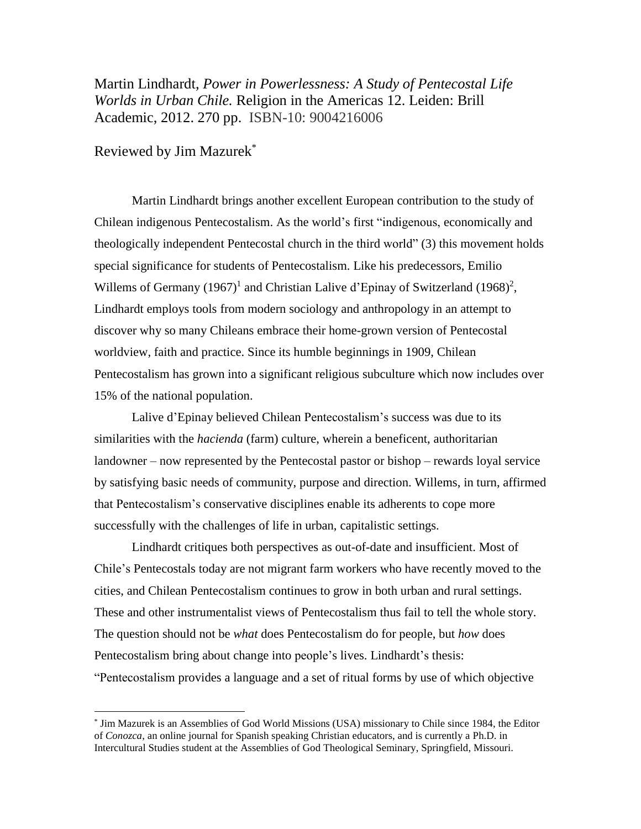Martin Lindhardt, *Power in Powerlessness: A Study of Pentecostal Life Worlds in Urban Chile.* Religion in the Americas 12. Leiden: Brill Academic, 2012. 270 pp. ISBN-10: 9004216006

Reviewed by Jim Mazurek\*

 $\overline{a}$ 

Martin Lindhardt brings another excellent European contribution to the study of Chilean indigenous Pentecostalism. As the world's first "indigenous, economically and theologically independent Pentecostal church in the third world" (3) this movement holds special significance for students of Pentecostalism. Like his predecessors, Emilio Willems of Germany  $(1967)^1$  and Christian Lalive d'Epinay of Switzerland  $(1968)^2$ , Lindhardt employs tools from modern sociology and anthropology in an attempt to discover why so many Chileans embrace their home-grown version of Pentecostal worldview, faith and practice. Since its humble beginnings in 1909, Chilean Pentecostalism has grown into a significant religious subculture which now includes over 15% of the national population.

Lalive d'Epinay believed Chilean Pentecostalism's success was due to its similarities with the *hacienda* (farm) culture, wherein a beneficent, authoritarian landowner – now represented by the Pentecostal pastor or bishop – rewards loyal service by satisfying basic needs of community, purpose and direction. Willems, in turn, affirmed that Pentecostalism's conservative disciplines enable its adherents to cope more successfully with the challenges of life in urban, capitalistic settings.

Lindhardt critiques both perspectives as out-of-date and insufficient. Most of Chile's Pentecostals today are not migrant farm workers who have recently moved to the cities, and Chilean Pentecostalism continues to grow in both urban and rural settings. These and other instrumentalist views of Pentecostalism thus fail to tell the whole story. The question should not be *what* does Pentecostalism do for people, but *how* does Pentecostalism bring about change into people's lives. Lindhardt's thesis: "Pentecostalism provides a language and a set of ritual forms by use of which objective

<sup>\*</sup> Jim Mazurek is an Assemblies of God World Missions (USA) missionary to Chile since 1984, the Editor of *Conozca*, an online journal for Spanish speaking Christian educators, and is currently a Ph.D. in Intercultural Studies student at the Assemblies of God Theological Seminary, Springfield, Missouri.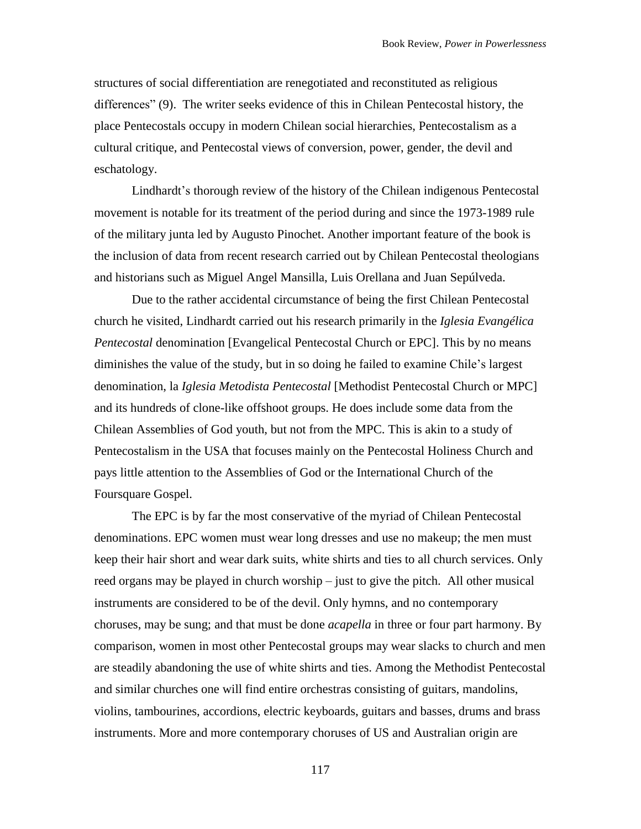structures of social differentiation are renegotiated and reconstituted as religious differences" (9). The writer seeks evidence of this in Chilean Pentecostal history, the place Pentecostals occupy in modern Chilean social hierarchies, Pentecostalism as a cultural critique, and Pentecostal views of conversion, power, gender, the devil and eschatology.

Lindhardt's thorough review of the history of the Chilean indigenous Pentecostal movement is notable for its treatment of the period during and since the 1973-1989 rule of the military junta led by Augusto Pinochet. Another important feature of the book is the inclusion of data from recent research carried out by Chilean Pentecostal theologians and historians such as Miguel Angel Mansilla, Luis Orellana and Juan Sepúlveda.

Due to the rather accidental circumstance of being the first Chilean Pentecostal church he visited, Lindhardt carried out his research primarily in the *Iglesia Evangélica Pentecostal* denomination [Evangelical Pentecostal Church or EPC]. This by no means diminishes the value of the study, but in so doing he failed to examine Chile's largest denomination, la *Iglesia Metodista Pentecostal* [Methodist Pentecostal Church or MPC] and its hundreds of clone-like offshoot groups. He does include some data from the Chilean Assemblies of God youth, but not from the MPC. This is akin to a study of Pentecostalism in the USA that focuses mainly on the Pentecostal Holiness Church and pays little attention to the Assemblies of God or the International Church of the Foursquare Gospel.

The EPC is by far the most conservative of the myriad of Chilean Pentecostal denominations. EPC women must wear long dresses and use no makeup; the men must keep their hair short and wear dark suits, white shirts and ties to all church services. Only reed organs may be played in church worship – just to give the pitch. All other musical instruments are considered to be of the devil. Only hymns, and no contemporary choruses, may be sung; and that must be done *acapella* in three or four part harmony. By comparison, women in most other Pentecostal groups may wear slacks to church and men are steadily abandoning the use of white shirts and ties. Among the Methodist Pentecostal and similar churches one will find entire orchestras consisting of guitars, mandolins, violins, tambourines, accordions, electric keyboards, guitars and basses, drums and brass instruments. More and more contemporary choruses of US and Australian origin are

117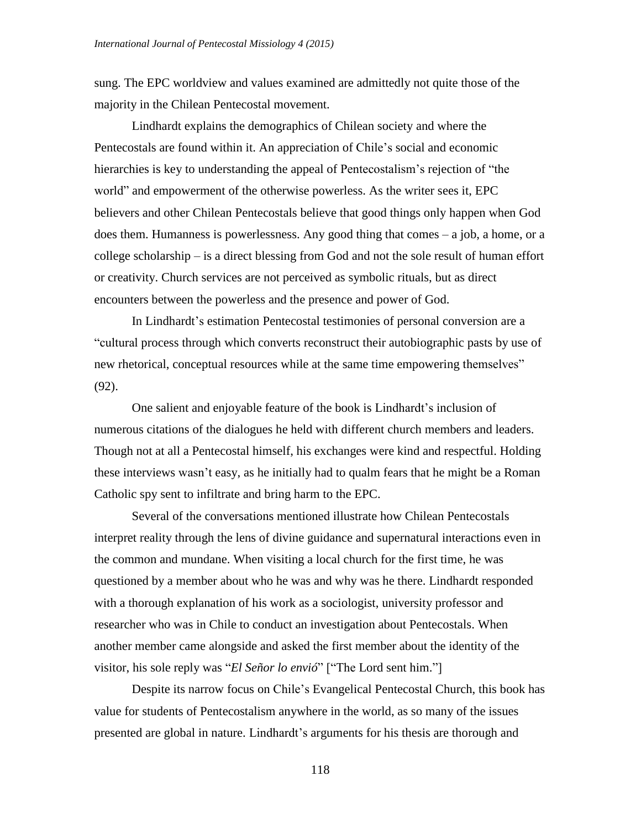sung. The EPC worldview and values examined are admittedly not quite those of the majority in the Chilean Pentecostal movement.

Lindhardt explains the demographics of Chilean society and where the Pentecostals are found within it. An appreciation of Chile's social and economic hierarchies is key to understanding the appeal of Pentecostalism's rejection of "the world" and empowerment of the otherwise powerless. As the writer sees it, EPC believers and other Chilean Pentecostals believe that good things only happen when God does them. Humanness is powerlessness. Any good thing that comes – a job, a home, or a college scholarship – is a direct blessing from God and not the sole result of human effort or creativity. Church services are not perceived as symbolic rituals, but as direct encounters between the powerless and the presence and power of God.

In Lindhardt's estimation Pentecostal testimonies of personal conversion are a "cultural process through which converts reconstruct their autobiographic pasts by use of new rhetorical, conceptual resources while at the same time empowering themselves" (92).

One salient and enjoyable feature of the book is Lindhardt's inclusion of numerous citations of the dialogues he held with different church members and leaders. Though not at all a Pentecostal himself, his exchanges were kind and respectful. Holding these interviews wasn't easy, as he initially had to qualm fears that he might be a Roman Catholic spy sent to infiltrate and bring harm to the EPC.

Several of the conversations mentioned illustrate how Chilean Pentecostals interpret reality through the lens of divine guidance and supernatural interactions even in the common and mundane. When visiting a local church for the first time, he was questioned by a member about who he was and why was he there. Lindhardt responded with a thorough explanation of his work as a sociologist, university professor and researcher who was in Chile to conduct an investigation about Pentecostals. When another member came alongside and asked the first member about the identity of the visitor, his sole reply was "*El Señor lo envió*" ["The Lord sent him."]

Despite its narrow focus on Chile's Evangelical Pentecostal Church, this book has value for students of Pentecostalism anywhere in the world, as so many of the issues presented are global in nature. Lindhardt's arguments for his thesis are thorough and

118